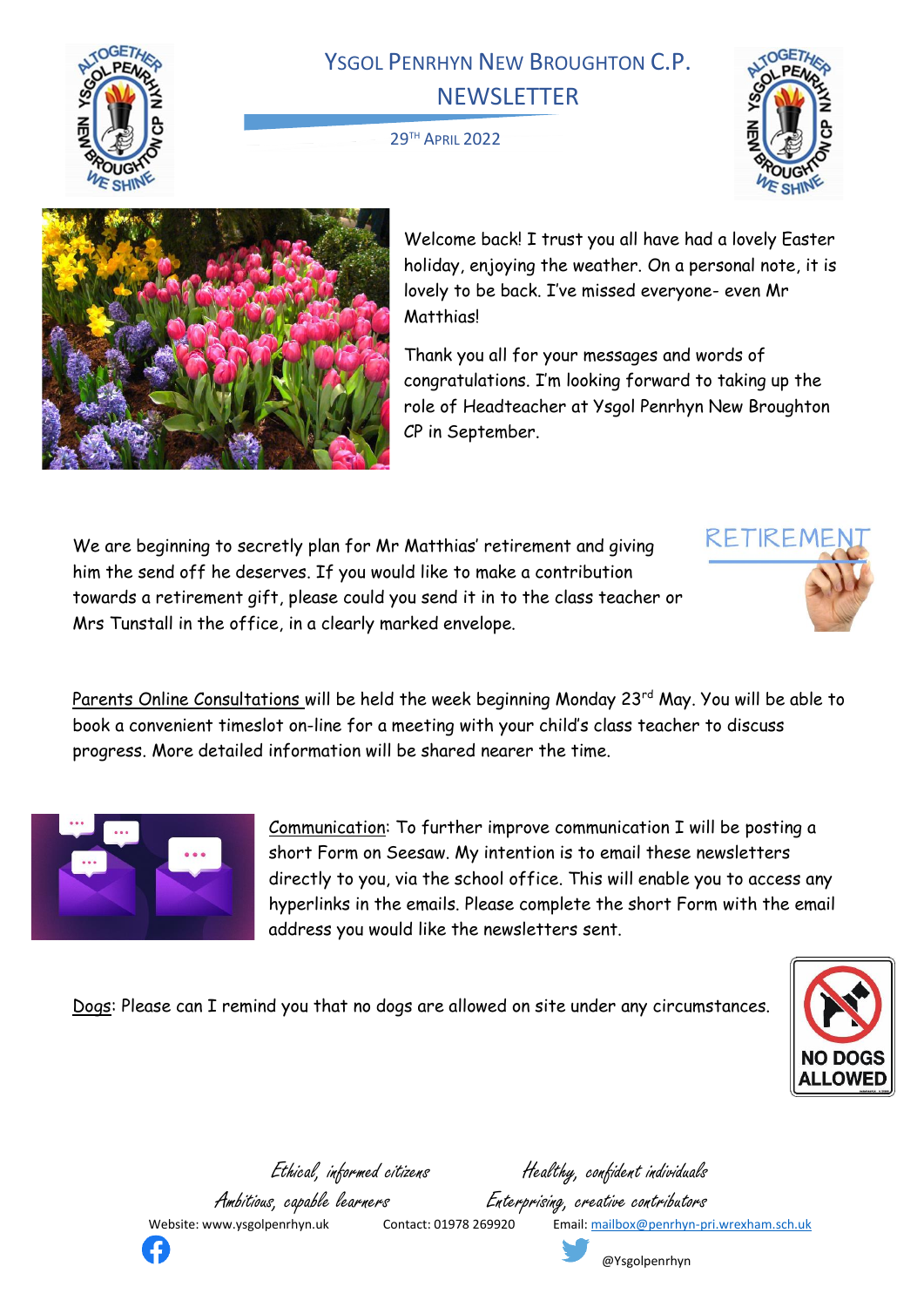

## YSGOL PENRHYN NEW BROUGHTON C.P. NEWSLETTER

29TH APRIL 2022





Welcome back! I trust you all have had a lovely Easter holiday, enjoying the weather. On a personal note, it is lovely to be back. I've missed everyone- even Mr Matthias!

Thank you all for your messages and words of congratulations. I'm looking forward to taking up the role of Headteacher at Ysgol Penrhyn New Broughton CP in September.

We are beginning to secretly plan for Mr Matthias' retirement and giving him the send off he deserves. If you would like to make a contribution towards a retirement gift, please could you send it in to the class teacher or Mrs Tunstall in the office, in a clearly marked envelope.



Parents Online Consultations will be held the week beginning Monday 23<sup>rd</sup> May. You will be able to book a convenient timeslot on-line for a meeting with your child's class teacher to discuss progress. More detailed information will be shared nearer the time.



Communication: To further improve communication I will be posting a short Form on Seesaw. My intention is to email these newsletters directly to you, via the school office. This will enable you to access any hyperlinks in the emails. Please complete the short Form with the email address you would like the newsletters sent.

Dogs: Please can I remind you that no dogs are allowed on site under any circumstances.



Ethical, informed citizens Healthy, confident individuals

Ambitious, capable learners Enterprising, creative contributors

Website: www.ysgolpenrhyn.uk Contact: 01978 269920 Email: [mailbox@penrhyn-pri.wrexham.sch.uk](mailto:mailbox@penrhyn-pri.wrexham.sch.uk)





@Ysgolpenrhyn